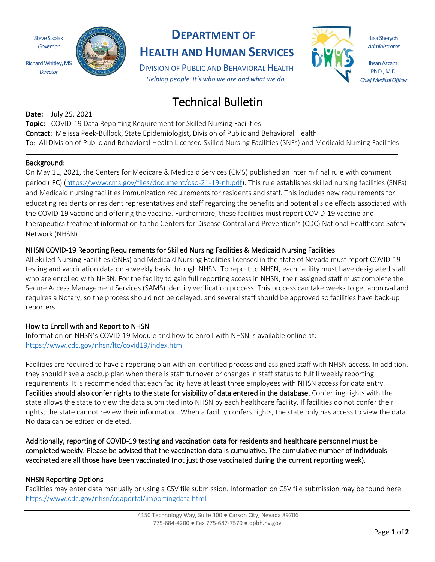Steve Sisolak *Governor* Richard Whitley, MS

*Director*



## **DEPARTMENT OF**

**HEALTH AND HUMAN SERVICES**

DIVISION OF PUBLIC AND BEHAVIORAL HEALTH *Helping people. It's who we are and what we do.*

# Technical Bulletin

**Date:** July 25, 2021 **Topic:** COVID-19 Data Reporting Requirement for Skilled Nursing Facilities Contact: Melissa Peek-Bullock, State Epidemiologist, Division of Public and Behavioral Health To: All Division of Public and Behavioral Health Licensed Skilled Nursing Facilities (SNFs) and Medicaid Nursing Facilities

#### Background:

On May 11, 2021, the Centers for Medicare & Medicaid Services (CMS) published an interim final rule with comment period (IFC) [\(https://www.cms.gov/files/document/qso-21-19-nh.pdf\)](https://www.cms.gov/files/document/qso-21-19-nh.pdf). This rule establishes skilled nursing facilities (SNFs) and Medicaid nursing facilities immunization requirements for residents and staff. This includes new requirements for educating residents or resident representatives and staff regarding the benefits and potential side effects associated with the COVID-19 vaccine and offering the vaccine. Furthermore, these facilities must report COVID-19 vaccine and therapeutics treatment information to the Centers for Disease Control and Prevention's (CDC) National Healthcare Safety Network (NHSN).

### NHSN COVID-19 Reporting Requirements for Skilled Nursing Facilities & Medicaid Nursing Facilities

All Skilled Nursing Facilities (SNFs) and Medicaid Nursing Facilities licensed in the state of Nevada must report COVID-19 testing and vaccination data on a weekly basis through NHSN. To report to NHSN, each facility must have designated staff who are enrolled with NHSN. For the facility to gain full reporting access in NHSN, their assigned staff must complete the Secure Access Management Services (SAMS) identity verification process. This process can take weeks to get approval and requires a Notary, so the process should not be delayed, and several staff should be approved so facilities have back-up reporters.

### How to Enroll with and Report to NHSN

Information on NHSN's COVID-19 Module and how to enroll with NHSN is available online at: <https://www.cdc.gov/nhsn/ltc/covid19/index.html>

Facilities are required to have a reporting plan with an identified process and assigned staff with NHSN access. In addition, they should have a backup plan when there is staff turnover or changes in staff status to fulfill weekly reporting requirements. It is recommended that each facility have at least three employees with NHSN access for data entry. Facilities should also confer rights to the state for visibility of data entered in the database. Conferring rights with the state allows the state to view the data submitted into NHSN by each healthcare facility. If facilities do not confer their rights, the state cannot review their information. When a facility confers rights, the state only has access to view the data. No data can be edited or deleted.

Additionally, reporting of COVID-19 testing and vaccination data for residents and healthcare personnel must be completed weekly. Please be advised that the vaccination data is cumulative. The cumulative number of individuals vaccinated are all those have been vaccinated (not just those vaccinated during the current reporting week).

### NHSN Reporting Options

Facilities may enter data manually or using a CSV file submission. Information on CSV file submission may be found here: <https://www.cdc.gov/nhsn/cdaportal/importingdata.html>

Lisa Sherych *Administrator*

Ihsan Azzam, Ph.D., M.D. *Chief Medical Officer*